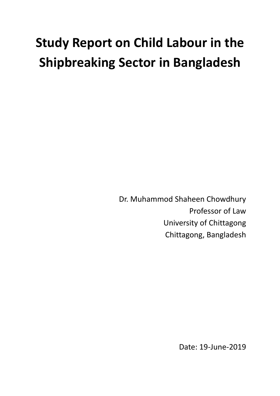# **Study Report on Child Labour in the Shipbreaking Sector in Bangladesh**

Dr. Muhammod Shaheen Chowdhury Professor of Law University of Chittagong Chittagong, Bangladesh

Date: 19-June-2019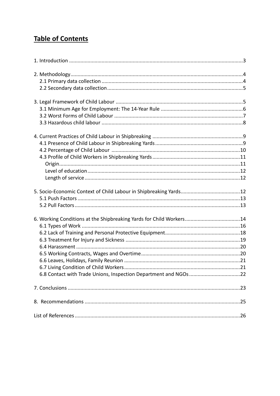# **Table of Contents**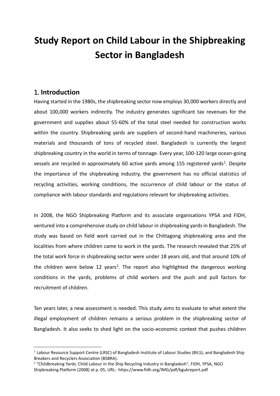# **Study Report on Child Labour in the Shipbreaking Sector in Bangladesh**

# <span id="page-2-0"></span>1. **Introduction**

 $\overline{a}$ 

Having started in the 1980s, the shipbreaking sector now employs 30,000 workers directly and about 100,000 workers indirectly. The industry generates significant tax revenues for the government and supplies about 55-60% of the total steel needed for construction works within the country. Shipbreaking yards are suppliers of second-hand machineries, various materials and thousands of tons of recycled steel. Bangladesh is currently the largest shipbreaking country in the world in terms of tonnage. Every year, 100-120 large ocean-going vessels are recycled in approximately 60 active yards among 155 registered yards<sup>1</sup>. Despite the importance of the shipbreaking industry, the government has no official statistics of recycling activities, working conditions, the occurrence of child labour or the status of compliance with labour standards and regulations relevant for shipbreaking activities.

In 2008, the NGO Shipbreaking Platform and its associate organisations YPSA and FIDH, ventured into a comprehensive study on child labour in shipbreaking yards in Bangladesh. The study was based on field work carried out in the Chittagong shipbreaking area and the localities from where children came to work in the yards. The research revealed that 25% of the total work force in shipbreaking sector were under 18 years old, and that around 10% of the children were below 12 years<sup>2</sup>. The report also highlighted the dangerous working conditions in the yards, problems of child workers and the push and pull factors for recruitment of children.

Ten years later, a new assessment is needed. This study aims to evaluate to what extent the illegal employment of children remains a serious problem in the shipbreaking sector of Bangladesh. It also seeks to shed light on the socio-economic context that pushes children

<sup>&</sup>lt;sup>1</sup> Labour Resource Support Centre (LRSC) of Bangladesh Institute of Labour Studies (BILS), and Bangladesh Ship Breakers and Recyclers Association (BSBRA).

<sup>&</sup>lt;sup>2</sup> "Childbreaking Yards: Child Labour in the Ship Recycling Industry in Bangladesh", FIDH, YPSA, NGO Shipbreaking Platform (2008) at p. 05, URL: <https://www.fidh.org/IMG/pdf/bgukreport.pdf>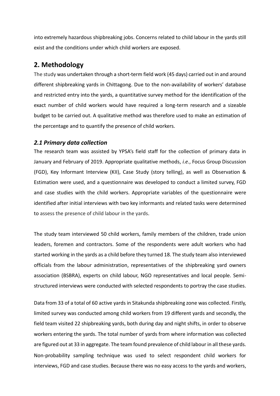into extremely hazardous shipbreaking jobs. Concerns related to child labour in the yards still exist and the conditions under which child workers are exposed.

# <span id="page-3-0"></span>**2. Methodology**

The study was undertaken through a short-term field work (45 days) carried out in and around different shipbreaking yards in Chittagong. Due to the non-availability of workers' database and restricted entry into the yards, a quantitative survey method for the identification of the exact number of child workers would have required a long-term research and a sizeable budget to be carried out. A qualitative method was therefore used to make an estimation of the percentage and to quantify the presence of child workers.

#### <span id="page-3-1"></span>*2.1 Primary data collection*

The research team was assisted by YPSA's field staff for the collection of primary data in January and February of 2019. Appropriate qualitative methods, *i.e.*, Focus Group Discussion (FGD), Key Informant Interview (KII), Case Study (story telling), as well as Observation & Estimation were used, and a questionnaire was developed to conduct a limited survey, FGD and case studies with the child workers. Appropriate variables of the questionnaire were identified after initial interviews with two key informants and related tasks were determined to assess the presence of child labour in the yards.

The study team interviewed 50 child workers, family members of the children, trade union leaders, foremen and contractors. Some of the respondents were adult workers who had started working in the yards as a child before they turned 18. The study team also interviewed officials from the labour administration, representatives of the shipbreaking yard owners association (BSBRA), experts on child labour, NGO representatives and local people. Semistructured interviews were conducted with selected respondents to portray the case studies.

Data from 33 of a total of 60 active yards in Sitakunda shipbreaking zone was collected. Firstly, limited survey was conducted among child workers from 19 different yards and secondly, the field team visited 22 shipbreaking yards, both during day and night shifts, in order to observe workers entering the yards. The total number of yards from where information was collected are figured out at 33 in aggregate. The team found prevalence of child labour in all these yards. Non-probability sampling technique was used to select respondent child workers for interviews, FGD and case studies. Because there was no easy access to the yards and workers,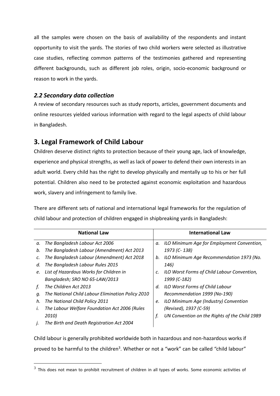all the samples were chosen on the basis of availability of the respondents and instant opportunity to visit the yards. The stories of two child workers were selected as illustrative case studies, reflecting common patterns of the testimonies gathered and representing different backgrounds, such as different job roles, origin, socio-economic background or reason to work in the yards.

### <span id="page-4-0"></span>*2.2 Secondary data collection*

 $\overline{a}$ 

A review of secondary resources such as study reports, articles, government documents and online resources yielded various information with regard to the legal aspects of child labour in Bangladesh.

# <span id="page-4-1"></span>**3. Legal Framework of Child Labour**

Children deserve distinct rights to protection because of their young age, lack of knowledge, experience and physical strengths, as well as lack of power to defend their own interests in an adult world. Every child has the right to develop physically and mentally up to his or her full potential. Children also need to be protected against economic exploitation and hazardous work, slavery and infringement to family live.

There are different sets of national and international legal frameworks for the regulation of child labour and protection of children engaged in shipbreaking yards in Bangladesh:

|    | <b>National Law</b>                               |    | <b>International Law</b>                      |
|----|---------------------------------------------------|----|-----------------------------------------------|
| а. | The Bangladesh Labour Act 2006                    | a. | ILO Minimum Age for Employment Convention,    |
| b. | The Bangladesh Labour (Amendment) Act 2013        |    | 1973 (C-138)                                  |
| c. | The Bangladesh Labour (Amendment) Act 2018        | b. | ILO Minimum Age Recommendation 1973 (No.      |
| d. | The Bangladesh Labour Rules 2015                  |    | 146)                                          |
| e. | List of Hazardous Works for Children in           | c. | ILO Worst Forms of Child Labour Convention,   |
|    | Bangladesh; SRO NO 65-LAW/2013                    |    | 1999 (C-182)                                  |
|    | The Children Act 2013                             | d. | ILO Worst Forms of Child Labour               |
| q. | The National Child Labour Elimination Policy 2010 |    | Recommendation 1999 (No-190)                  |
| h. | The National Child Policy 2011                    | e. | ILO Minimum Age (Industry) Convention         |
| ı. | The Labour Welfare Foundation Act 2006 (Rules     |    | (Revised), 1937 (C-59)                        |
|    | 2010)                                             | f. | UN Convention on the Rights of the Child 1989 |
| J. | The Birth and Death Registration Act 2004         |    |                                               |

Child labour is generally prohibited worldwide both in hazardous and non-hazardous works if proved to be harmful to the children<sup>3</sup>. Whether or not a "work" can be called "child labour"

 $^3$  This does not mean to prohibit recruitment of children in all types of works. Some economic activities of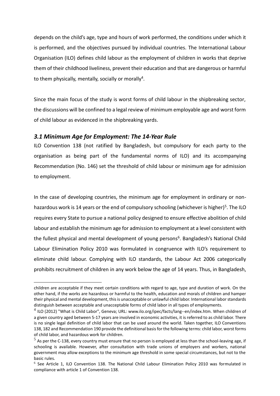depends on the child's age, type and hours of work performed, the conditions under which it is performed, and the objectives pursued by individual countries. The International Labour Organisation (ILO) defines child labour as the employment of children in works that deprive them of their childhood liveliness, prevent their education and that are dangerous or harmful to them physically, mentally, socially or morally<sup>4</sup>.

Since the main focus of the study is worst forms of child labour in the shipbreaking sector, the discussions will be confined to a legal review of minimum employable age and worst form of child labour as evidenced in the shipbreaking yards.

#### <span id="page-5-0"></span>*3.1 Minimum Age for Employment: The 14-Year Rule*

 $\overline{a}$ 

ILO Convention 138 (not ratified by Bangladesh, but compulsory for each party to the organisation as being part of the fundamental norms of ILO) and its accompanying Recommendation (No. 146) set the threshold of child labour or minimum age for admission to employment.

In the case of developing countries, the minimum age for employment in ordinary or nonhazardous work is 14 years or the end of compulsory schooling (whichever is higher)<sup>5</sup>. The ILO requires every State to pursue a national policy designed to ensure effective abolition of child labour and establish the minimum age for admission to employment at a level consistent with the fullest physical and mental development of young persons<sup>6</sup>. Bangladesh's National Child Labour Elimination Policy 2010 was formulated in congruence with ILO's requirement to eliminate child labour. Complying with ILO standards, the Labour Act 2006 categorically prohibits recruitment of children in any work below the age of 14 years. Thus, in Bangladesh,

children are acceptable if they meet certain conditions with regard to age, type and duration of work. On the other hand, if the works are hazardous or harmful to the health, education and morals of children and hamper their physical and mental development, this is unacceptable or unlawful child labor. International labor standards distinguish between acceptable and unacceptable forms of child labor in all types of employments.

 $^4$  ILO (2012) "What is Child Labor", Geneva; URL: [www.ilo.org/ipec/facts/lang--en/index.htm.](http://www.ilo.org/ipec/facts/lang--en/index.htm) When children of a given country aged between 5-17 years are involved in economic activities, it is referred to as child labor. There is no single legal definition of child labor that can be used around the world. Taken together, ILO Conventions 138, 182 and Recommendation 190 provide the definitional basis for the following terms: child labor, worst forms of child labor, and hazardous work for children.

 $^5$  As per the C-138, every country must ensure that no person is employed at less than the school-leaving age, if schooling is available. However, after consultation with trade unions of employers and workers, national government may allow exceptions to the minimum age threshold in some special circumstances, but not to the basic rules.

<sup>&</sup>lt;sup>6</sup> See Article 1, ILO Convention 138. The National Child Labour Elimination Policy 2010 was formulated in compliance with article 1 of Convention 138.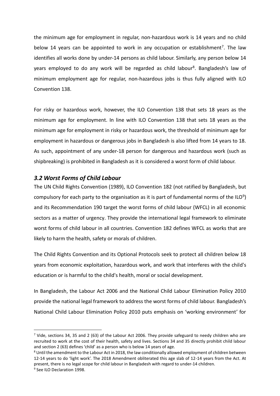the minimum age for employment in regular, non-hazardous work is 14 years and no child below 14 years can be appointed to work in any occupation or establishment<sup>7</sup>. The law identifies all works done by under-14 persons as child labour. Similarly, any person below 14 years employed to do any work will be regarded as child labour<sup>8</sup>. Bangladesh's law of minimum employment age for regular, non-hazardous jobs is thus fully aligned with ILO Convention 138.

For risky or hazardous work, however, the ILO Convention 138 that sets 18 years as the minimum age for employment. In line with ILO Convention 138 that sets 18 years as the minimum age for employment in risky or hazardous work, the threshold of minimum age for employment in hazardous or dangerous jobs in Bangladesh is also lifted from 14 years to 18. As such, appointment of any under-18 person for dangerous and hazardous work (such as shipbreaking) is prohibited in Bangladesh as it is considered a worst form of child labour.

#### <span id="page-6-0"></span>*3.2 Worst Forms of Child Labour*

 $\overline{a}$ 

The UN Child Rights Convention (1989), ILO Convention 182 (not ratified by Bangladesh, but compulsory for each party to the organisation as it is part of fundamental norms of the ILO<sup>9</sup>) and its Recommendation 190 target the worst forms of child labour (WFCL) in all economic sectors as a matter of urgency. They provide the international legal framework to eliminate worst forms of child labour in all countries. Convention 182 defines WFCL as works that are likely to harm the health, safety or morals of children.

The Child Rights Convention and its Optional Protocols seek to protect all children below 18 years from economic exploitation, hazardous work, and work that interferes with the child's education or is harmful to the child's health, moral or social development.

In Bangladesh, the Labour Act 2006 and the National Child Labour Elimination Policy 2010 provide the national legal framework to address the worst forms of child labour. Bangladesh's National Child Labour Elimination Policy 2010 puts emphasis on 'working environment' for

 $7$  Vide, sections 34, 35 and 2 (63) of the Labour Act 2006. They provide safeguard to needy children who are recruited to work at the cost of their health, safety and lives. Sections 34 and 35 directly prohibit child labour and section 2 (63) defines 'child' as a person who is below 14 years of age.

<sup>&</sup>lt;sup>8</sup> Until the amendment to the Labour Act in 2018, the law conditionally allowed employment of children between 12-14 years to do 'light work'. The 2018 Amendment obliterated this age slab of 12-14 years from the Act. At present, there is no legal scope for child labour in Bangladesh with regard to under-14 children. <sup>9</sup> See ILO Declaration 1998.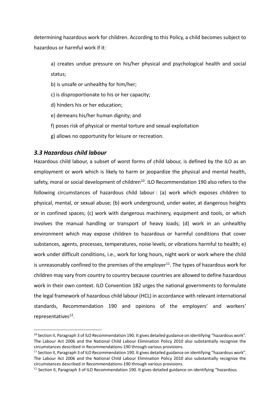determining hazardous work for children. According to this Policy, a child becomes subject to hazardous or harmful work if it:

a) creates undue pressure on his/her physical and psychological health and social status;

- b) is unsafe or unhealthy for him/her;
- c) is disproportionate to his or her capacity;
- d) hinders his or her education;
- e) demeans his/her human dignity; and
- f) poses risk of physical or mental torture and sexual exploitation
- g) allows no opportunity for leisure or recreation.

#### <span id="page-7-0"></span>*3.3 Hazardous child labour*

 $\overline{a}$ 

Hazardous child labour, a subset of worst forms of child labour, is defined by the ILO as an employment or work which is likely to harm or jeopardize the physical and mental health, safety, moral or social development of children<sup>10</sup>. ILO Recommendation 190 also refers to the following circumstances of hazardous child labour : (a) work which exposes children to physical, mental, or sexual abuse; (b) work underground, under water, at dangerous heights or in confined spaces; (c) work with dangerous machinery, equipment and tools, or which involves the manual handling or transport of heavy loads; (d) work in an unhealthy environment which may expose children to hazardous or harmful conditions that cover substances, agents, processes, temperatures, noise levels, or vibrations harmful to health; e) work under difficult conditions, i.e., work for long hours, night work or work where the child is unreasonably confined to the premises of the employer<sup>11</sup>. The types of hazardous work for children may vary from country to country because countries are allowed to define hazardous work in their own context. ILO Convention 182 urges the national governments to formulate the legal framework of hazardous child labour (HCL) in accordance with relevant international standards, Recommendation 190 and opinions of the employers' and workers' representatives<sup>12</sup>.

<sup>&</sup>lt;sup>10</sup> Section II, Paragraph 3 of ILO Recommendation 190. It gives detailed guidance on identifying "hazardous work". The Labour Act 2006 and the National Child Labour Elimination Policy 2010 also substantially recognize the circumstances described in Recommendations-190 through various provisions.

 $11$  Section II, Paragraph 3 of ILO Recommendation 190. It gives detailed guidance on identifying "hazardous work". The Labour Act 2006 and the National Child Labour Elimination Policy 2010 also substantially recognize the circumstances described in Recommendations-190 through various provisions.

 $12$  Section II, Paragraph 3 of ILO Recommendation 190. It gives detailed guidance on identifying "hazardous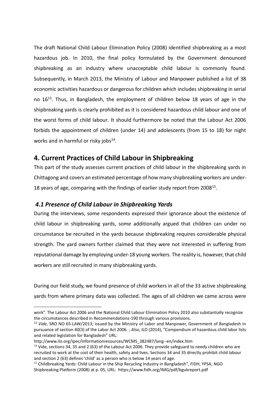The draft National Child Labour Elimination Policy (2008) identified shipbreaking as a most hazardous job. In 2010, the final policy formulated by the Government denounced shipbreaking as an industry where unacceptable child labour is commonly found. Subsequently, in March 2013, the Ministry of Labour and Manpower published a list of 38 economic activities hazardous or dangerous for children which includes shipbreaking in serial no 16<sup>13</sup> . Thus, in Bangladesh, the employment of children below 18 years of age in the shipbreaking yards is clearly prohibited as it is considered hazardous child labour and one of the worst forms of child labour. It should furthermore be noted that the Labour Act 2006 forbids the appointment of children (under 14) and adolescents (from 15 to 18) for night works and in harmful or risky jobs $^{14}$ .

# <span id="page-8-0"></span>**4. Current Practices of Child Labour in Shipbreaking**

This part of the study assesses current practices of child labour in the shipbreaking yards in Chittagong and covers an estimated percentage of how many shipbreaking workers are under-18 years of age, comparing with the findings of earlier study report from 2008<sup>15</sup>.

#### <span id="page-8-1"></span>*4.1 Presence of Child Labour in Shipbreaking Yards*

During the interviews, some respondents expressed their ignorance about the existence of child labour in shipbreaking yards, some additionally argued that children can under no circumstance be recruited in the yards because shipbreaking requires considerable physical strength. The yard owners further claimed that they were not interested in suffering from reputational damage by employing under-18 young workers. The reality is, however, that child workers are still recruited in many shipbreaking yards.

During our field study, we found presence of child workers in all of the 33 active shipbreaking yards from where primary data was collected. The ages of all children we came across were

 $\overline{a}$ 

work". The Labour Act 2006 and the National Child Labour Elimination Policy 2010 also substantially recognize the circumstances described in Recommendations-190 through various provisions.

<sup>13</sup> *Vide*, SRO NO 65-LAW/2013; issued by the Ministry of Labor and Manpower, Government of Bangladesh in pursuance of section 40(3) of the Labor Act 2006. ; *Also*, ILO (2014), "Compendium of hazardous child labor lists and related legislation for Bangladesh" URL:

[http://www.ilo.org/ipec/Informationresources/WCMS\\_382487/lang--en/index.htm](http://www.ilo.org/ipec/Informationresources/WCMS_382487/lang--en/index.htm)

<sup>&</sup>lt;sup>14</sup> Vide, sections 34, 35 and 2 (63) of the Labour Act 2006. They provide safeguard to needy children who are recruited to work at the cost of their health, safety and lives. Sections 34 and 35 directly prohibit child labour and section 2 (63) defines 'child' as a person who is below 14 years of age.

<sup>&</sup>lt;sup>15</sup> Childbreaking Yards: Child Labour in the Ship Recycling Industry in Bangladesh", FIDH, YPSA, NGO Shipbreaking Platform (2008) at p. 05, URL: <https://www.fidh.org/IMG/pdf/bgukreport.pdf>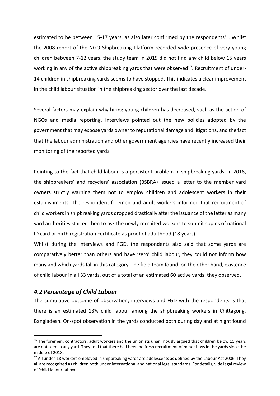estimated to be between 15-17 years, as also later confirmed by the respondents<sup>16</sup>. Whilst the 2008 report of the NGO Shipbreaking Platform recorded wide presence of very young children between 7-12 years, the study team in 2019 did not find any child below 15 years working in any of the active shipbreaking yards that were observed<sup>17</sup>. Recruitment of under-14 children in shipbreaking yards seems to have stopped. This indicates a clear improvement in the child labour situation in the shipbreaking sector over the last decade.

Several factors may explain why hiring young children has decreased, such as the action of NGOs and media reporting. Interviews pointed out the new policies adopted by the government that may expose yards owner to reputational damage and litigations, and the fact that the labour administration and other government agencies have recently increased their monitoring of the reported yards.

Pointing to the fact that child labour is a persistent problem in shipbreaking yards, in 2018, the shipbreakers' and recyclers' association (BSBRA) issued a letter to the member yard owners strictly warning them not to employ children and adolescent workers in their establishments. The respondent foremen and adult workers informed that recruitment of child workers in shipbreaking yards dropped drastically after the issuance of the letter as many yard authorities started then to ask the newly recruited workers to submit copies of national ID card or birth registration certificate as proof of adulthood (18 years).

Whilst during the interviews and FGD, the respondents also said that some yards are comparatively better than others and have 'zero' child labour, they could not inform how many and which yards fall in this category. The field team found, on the other hand, existence of child labour in all 33 yards, out of a total of an estimated 60 active yards, they observed.

#### <span id="page-9-0"></span>*4.2 Percentage of Child Labour*

 $\overline{a}$ 

The cumulative outcome of observation, interviews and FGD with the respondents is that there is an estimated 13% child labour among the shipbreaking workers in Chittagong, Bangladesh. On-spot observation in the yards conducted both during day and at night found

<sup>&</sup>lt;sup>16</sup> The foremen, contractors, adult workers and the unionists unanimously argued that children below 15 years are not seen in any yard. They told that there had been no fresh recruitment of minor boys in the yards since the middle of 2018.

<sup>&</sup>lt;sup>17</sup> All under-18 workers employed in shipbreaking yards are adolescents as defined by the Labour Act 2006. They all are recognized as children both under international and national legal standards. For details, vide legal review of 'child labour' above.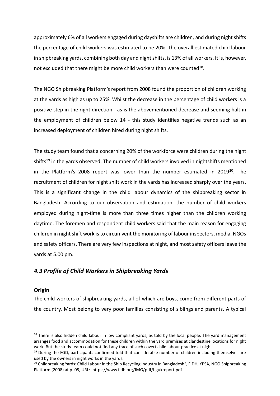approximately 6% of all workers engaged during dayshifts are children, and during night shifts the percentage of child workers was estimated to be 20%. The overall estimated child labour in shipbreaking yards, combining both day and night shifts, is 13% of all workers. It is, however, not excluded that there might be more child workers than were counted $^{18}$ .

The NGO Shipbreaking Platform's report from 2008 found the proportion of children working at the yards as high as up to 25%. Whilst the decrease in the percentage of child workers is a positive step in the right direction - as is the abovementioned decrease and seeming halt in the employment of children below 14 - this study identifies negative trends such as an increased deployment of children hired during night shifts.

The study team found that a concerning 20% of the workforce were children during the night shifts<sup>19</sup> in the yards observed. The number of child workers involved in nightshifts mentioned in the Platform's 2008 report was lower than the number estimated in 2019<sup>20</sup>. The recruitment of children for night shift work in the yards has increased sharply over the years. This is a significant change in the child labour dynamics of the shipbreaking sector in Bangladesh. According to our observation and estimation, the number of child workers employed during night-time is more than three times higher than the children working daytime. The foremen and respondent child workers said that the main reason for engaging children in night shift work is to circumvent the monitoring of labour inspectors, media, NGOs and safety officers. There are very few inspections at night, and most safety officers leave the yards at 5.00 pm.

#### <span id="page-10-0"></span>*4.3 Profile of Child Workers in Shipbreaking Yards*

#### <span id="page-10-1"></span>**Origin**

 $\overline{a}$ 

The child workers of shipbreaking yards, all of which are boys, come from different parts of the country. Most belong to very poor families consisting of siblings and parents. A typical

 $18$  There is also hidden child labour in low compliant yards, as told by the local people. The yard management arranges food and accommodation for these children within the yard premises at clandestine locations for night work. But the study team could not find any trace of such covert child labour practice at night.

 $19$  During the FGD, participants confirmed told that considerable number of children including themselves are used by the owners in night works in the yards.

 $^{20}$  Childbreaking Yards: Child Labour in the Ship Recycling Industry in Bangladesh", FIDH, YPSA, NGO Shipbreaking Platform (2008) at p. 05, URL:<https://www.fidh.org/IMG/pdf/bgukreport.pdf>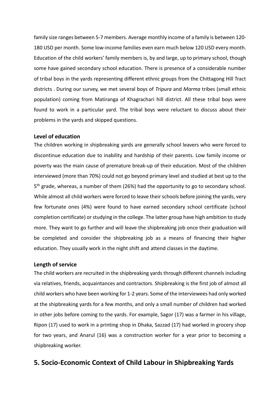family size ranges between 5-7 members. Average monthly income of a family is between 120- 180 USD per month. Some low-income families even earn much below 120 USD every month. Education of the child workers' family members is, by and large, up to primary school, though some have gained secondary school education. There is presence of a considerable number of tribal boys in the yards representing different ethnic groups from the Chittagong Hill Tract districts . During our survey, we met several boys of *Tripura* and *Marma* tribes (small ethnic population) coming from Matiranga of Khagrachari hill district. All these tribal boys were found to work in a particular yard. The tribal boys were reluctant to discuss about their problems in the yards and skipped questions.

#### <span id="page-11-0"></span>**Level of education**

The children working in shipbreaking yards are generally school leavers who were forced to discontinue education due to inability and hardship of their parents. Low family income or poverty was the main cause of premature break-up of their education. Most of the children interviewed (more than 70%) could not go beyond primary level and studied at best up to the 5 th grade, whereas, a number of them (26%) had the opportunity to go to secondary school. While almost all child workers were forced to leave their schools before joining the yards, very few fortunate ones (4%) were found to have earned secondary school certificate (school completion certificate) or studying in the college. The latter group have high ambition to study more. They want to go further and will leave the shipbreaking job once their graduation will be completed and consider the shipbreaking job as a means of financing their higher education. They usually work in the night shift and attend classes in the daytime.

#### <span id="page-11-1"></span>**Length of service**

The child workers are recruited in the shipbreaking yards through different channels including via relatives, friends, acquaintances and contractors. Shipbreaking is the first job of almost all child workers who have been working for 1-2 years. Some of the interviewees had only worked at the shipbreaking yards for a few months, and only a small number of children had worked in other jobs before coming to the yards. For example, Sagor (17) was a farmer in his village, Ripon (17) used to work in a printing shop in Dhaka, Sazzad (17) had worked in grocery shop for two years, and Anarul (16) was a construction worker for a year prior to becoming a shipbreaking worker.

#### <span id="page-11-2"></span>**5. Socio-Economic Context of Child Labour in Shipbreaking Yards**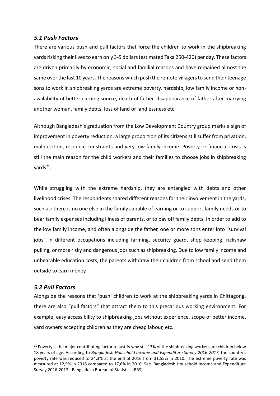#### <span id="page-12-0"></span>*5.1 Push Factors*

There are various push and pull factors that force the children to work in the shipbreaking yards risking their lives to earn only 3-5 dollars (estimated Taka 250-420) per day. These factors are driven primarily by economic, social and familial reasons and have remained almost the same over the last 10 years. The reasons which push the remote villagers to send their teenage sons to work in shipbreaking yards are extreme poverty, hardship, low family income or nonavailability of better earning source, death of father, disappearance of father after marrying another woman, family debts, loss of land or landlessness etc.

Although Bangladesh's graduation from the Low Development Country group marks a sign of improvement in poverty reduction, a large proportion of its citizens still suffer from privation, malnutrition, resource constraints and very low family income. Poverty or financial crisis is still the main reason for the child workers and their families to choose jobs in shipbreaking yards<sup>21</sup>.

While struggling with the extreme hardship, they are entangled with debts and other livelihood crises. The respondents shared different reasons for their involvement in the yards, such as: there is no one else in the family capable of earning or to support family needs or to bear family expenses including illness of parents, or to pay off family debts. In order to add to the low family income, and often alongside the father, one or more sons enter into "survival jobs" in different occupations including farming, security guard, shop keeping, rickshaw pulling, or more risky and dangerous jobs such as shipbreaking. Due to low family income and unbearable education costs, the parents withdraw their children from school and send them outside to earn money.

#### <span id="page-12-1"></span>*5.2 Pull Factors*

 $\overline{a}$ 

Alongside the reasons that 'push' children to work at the shipbreaking yards in Chittagong, there are also "pull factors" that attract them to this precarious working environment. For example, easy accessibility to shipbreaking jobs without experience, scope of better income, yard owners accepting children as they are cheap labour, etc.

<sup>&</sup>lt;sup>21</sup> Poverty is the major contributing factor to justify why still 13% of the shipbreaking workers are children below 18 years of age. According to *Bangladesh Household Income and Expenditure Survey 2016-2017*, the country's poverty rate was reduced to 24,3% at the end of 2016 from 31,55% in 2010. The extreme poverty rate was measured at 12,9% in 2016 compared to 17,6% in 2010. See 'Bangladesh Household Income and Expenditure Survey 2016-2017`, Bangladesh Bureau of Statistics (BBS).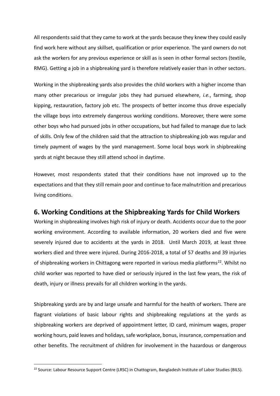All respondents said that they came to work at the yards because they knew they could easily find work here without any skillset, qualification or prior experience. The yard owners do not ask the workers for any previous experience or skill as is seen in other formal sectors (textile, RMG). Getting a job in a shipbreaking yard is therefore relatively easier than in other sectors.

Working in the shipbreaking yards also provides the child workers with a higher income than many other precarious or irregular jobs they had pursued elsewhere, *i.e.*, farming, shop kipping, restauration, factory job etc. The prospects of better income thus drove especially the village boys into extremely dangerous working conditions. Moreover, there were some other boys who had pursued jobs in other occupations, but had failed to manage due to lack of skills. Only few of the children said that the attraction to shipbreaking job was regular and timely payment of wages by the yard management. Some local boys work in shipbreaking yards at night because they still attend school in daytime.

However, most respondents stated that their conditions have not improved up to the expectations and that they still remain poor and continue to face malnutrition and precarious living conditions.

# <span id="page-13-0"></span>**6. Working Conditions at the Shipbreaking Yards for Child Workers**

Working in shipbreaking involves high risk of injury or death. Accidents occur due to the poor working environment. According to available information, 20 workers died and five were severely injured due to accidents at the yards in 2018. Until March 2019, at least three workers died and three were injured. During 2016-2018, a total of 57 deaths and 39 injuries of shipbreaking workers in Chittagong were reported in various media platforms<sup>22</sup>. Whilst no child worker was reported to have died or seriously injured in the last few years, the risk of death, injury or illness prevails for all children working in the yards.

Shipbreaking yards are by and large unsafe and harmful for the health of workers. There are flagrant violations of basic labour rights and shipbreaking regulations at the yards as shipbreaking workers are deprived of appointment letter, ID card, minimum wages, proper working hours, paid leaves and holidays, safe workplace, bonus, insurance, compensation and other benefits. The recruitment of children for involvement in the hazardous or dangerous

 $\overline{a}$ 

<sup>&</sup>lt;sup>22</sup> Source: Labour Resource Support Centre (LRSC) in Chattogram, Bangladesh Institute of Labor Studies (BILS).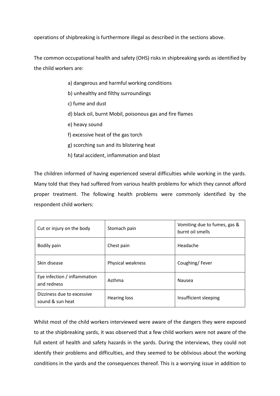operations of shipbreaking is furthermore illegal as described in the sections above.

The common occupational health and safety (OHS) risks in shipbreaking yards as identified by the child workers are:

- a) dangerous and harmful working conditions
- b) unhealthy and filthy surroundings
- c) fume and dust
- d) black oil, burnt Mobil, poisonous gas and fire flames
- e) heavy sound
- f) excessive heat of the gas torch
- g) scorching sun and its blistering heat
- h) fatal accident, inflammation and blast

The children informed of having experienced several difficulties while working in the yards. Many told that they had suffered from various health problems for which they cannot afford proper treatment. The following health problems were commonly identified by the respondent child workers:

| Cut or injury on the body                      | Stomach pain        | Vomiting due to fumes, gas &<br>burnt oil smells |
|------------------------------------------------|---------------------|--------------------------------------------------|
| Bodily pain                                    | Chest pain          | Headache                                         |
| Skin disease                                   | Physical weakness   | Coughing/Fever                                   |
| Eye infection / inflammation<br>and redness    | Asthma              | Nausea                                           |
| Dizziness due to excessive<br>sound & sun heat | <b>Hearing loss</b> | Insufficient sleeping                            |

Whilst most of the child workers interviewed were aware of the dangers they were exposed to at the shipbreaking yards, it was observed that a few child workers were not aware of the full extent of health and safety hazards in the yards. During the interviews, they could not identify their problems and difficulties, and they seemed to be oblivious about the working conditions in the yards and the consequences thereof. This is a worrying issue in addition to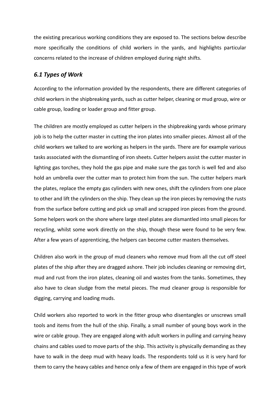the existing precarious working conditions they are exposed to. The sections below describe more specifically the conditions of child workers in the yards, and highlights particular concerns related to the increase of children employed during night shifts.

#### <span id="page-15-0"></span>*6.1 Types of Work*

According to the information provided by the respondents, there are different categories of child workers in the shipbreaking yards, such as cutter helper, cleaning or mud group, wire or cable group, loading or loader group and fitter group.

The children are mostly employed as cutter helpers in the shipbreaking yards whose primary job is to help the cutter master in cutting the iron plates into smaller pieces. Almost all of the child workers we talked to are working as helpers in the yards. There are for example various tasks associated with the dismantling of iron sheets. Cutter helpers assist the cutter master in lighting gas torches, they hold the gas pipe and make sure the gas torch is well fed and also hold an umbrella over the cutter man to protect him from the sun. The cutter helpers mark the plates, replace the empty gas cylinders with new ones, shift the cylinders from one place to other and lift the cylinders on the ship. They clean up the iron pieces by removing the rusts from the surface before cutting and pick up small and scrapped iron pieces from the ground. Some helpers work on the shore where large steel plates are dismantled into small pieces for recycling, whilst some work directly on the ship, though these were found to be very few. After a few years of apprenticing, the helpers can become cutter masters themselves.

Children also work in the group of mud cleaners who remove mud from all the cut off steel plates of the ship after they are dragged ashore. Their job includes cleaning or removing dirt, mud and rust from the iron plates, cleaning oil and wastes from the tanks. Sometimes, they also have to clean sludge from the metal pieces. The mud cleaner group is responsible for digging, carrying and loading muds.

Child workers also reported to work in the fitter group who disentangles or unscrews small tools and items from the hull of the ship. Finally, a small number of young boys work in the wire or cable group. They are engaged along with adult workers in pulling and carrying heavy chains and cables used to move parts of the ship. This activity is physically demanding as they have to walk in the deep mud with heavy loads. The respondents told us it is very hard for them to carry the heavy cables and hence only a few of them are engaged in this type of work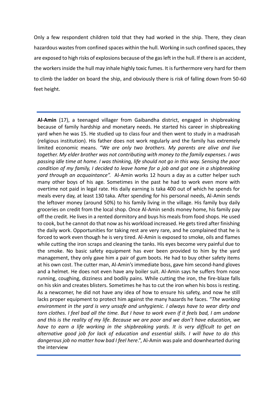Only a few respondent children told that they had worked in the ship. There, they clean hazardous wastes from confined spaces within the hull. Working in such confined spaces, they are exposed to high risks of explosions because of the gas left in the hull. If there is an accident, the workers inside the hull may inhale highly toxic fumes. It is furthermore very hard for them to climb the ladder on board the ship, and obviously there is risk of falling down from 50-60 feet height.

**Al-Amin** (17), a teenaged villager from Gaibandha district, engaged in shipbreaking because of family hardship and monetary needs. He started his career in shipbreaking yard when he was 15. He studied up to class four and then went to study in a madrasah (religious institution). His father does not work regularly and the family has extremely limited economic means. *"We are only two brothers. My parents are alive and live together. My elder brother was not contributing with money to the family expenses. I was passing idle time at home. I was thinking, life should not go in this way. Sensing the poor condition of my family, I decided to leave home for a job and got one in a shipbreaking yard through an acquaintance".* Al-Amin works 12 hours a day as a cutter helper such many other boys of his age. Sometimes in the past he had to work even more with overtime not paid in legal rate. His daily earning is taka 400 out of which he spends for meals every day, at least 130 taka. After spending for his personal needs, Al-Amin sends the leftover money (around 50%) to his family living in the village. His family buy daily groceries on credit from the local shop. Once Al-Amin sends money home, his family pay off the credit. He lives in a rented dormitory and buys his meals from food shops. He used to cook, but he cannot do that now as his workload increased. He gets tired after finishing the daily work. Opportunities for taking rest are very rare, and he complained that he is forced to work even though he is very tired. Al-Amin is exposed to smoke, oils and flames while cutting the iron scraps and cleaning the tanks. His eyes become very painful due to the smoke. No basic safety equipment has ever been provided to him by the yard management, they only gave him a pair of gum boots. He had to buy other safety items at his own cost. The cutter man, Al-Amin's immediate boss, gave him second-hand gloves and a helmet. He does not even have any boiler suit. Al-Amin says he suffers from nose running, coughing, dizziness and bodily pains. While cutting the iron, the fire-blaze falls on his skin and creates blisters. Sometimes he has to cut the iron when his boss is resting. As a newcomer, he did not have any idea of how to ensure his safety, and now he still lacks proper equipment to protect him against the many hazards he faces. *"The working environment in the yard is very unsafe and unhygienic. I always have to wear dirty and torn clothes. I feel bad all the time. But I have to work even if it feels bad, I am undone and this is the reality of my life. Because we are poor and we don't have education, we have to earn a life working in the shipbreaking yards. It is very difficult to get an alternative good job for lack of education and essential skills. I will have to do this dangerous job no matter how bad I feel here*.", Al-Amin was pale and downhearted during the interview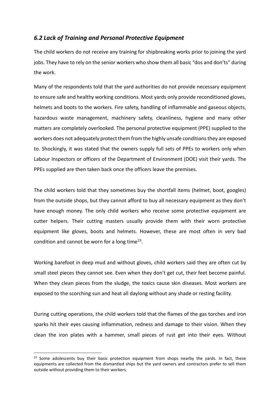#### <span id="page-17-0"></span>*6.2 Lack of Training and Personal Protective Equipment*

The child workers do not receive any training for shipbreaking works prior to joining the yard jobs. They have to rely on the senior workers who show them all basic "dos and don'ts" during the work.

Many of the respondents told that the yard authorities do not provide necessary equipment to ensure safe and healthy working conditions. Most yards only provide reconditioned gloves, helmets and boots to the workers. Fire safety, handling of inflammable and gaseous objects, hazardous waste management, machinery safety, cleanliness, hygiene and many other matters are completely overlooked. The personal protective equipment (PPE) supplied to the workers does not adequately protect them from the highly unsafe conditions they are exposed to. Shockingly, it was stated that the owners supply full sets of PPEs to workers only when Labour Inspectors or officers of the Department of Environment (DOE) visit their yards. The PPEs supplied are then taken back once the officers leave the premises.

The child workers told that they sometimes buy the shortfall items (helmet, boot, googles) from the outside shops, but they cannot afford to buy all necessary equipment as they don't have enough money. The only child workers who receive some protective equipment are cutter helpers. Their cutting masters usually provide them with their worn protective equipment like gloves, boots and helmets. However, these are most often in very bad condition and cannot be worn for a long time<sup>23</sup>.

Working barefoot in deep mud and without gloves, child workers said they are often cut by small steel pieces they cannot see. Even when they don't get cut, their feet become painful. When they clean pieces from the sludge, the toxics cause skin diseases. Most workers are exposed to the scorching sun and heat all daylong without any shade or resting facility.

During cutting operations, the child workers told that the flames of the gas torches and iron sparks hit their eyes causing inflammation, redness and damage to their vision. When they clean the iron plates with a hammer, small pieces of rust get into their eyes. Without

 $\overline{a}$ 

<sup>&</sup>lt;sup>23</sup> Some adolescents buy their basic protection equipment from shops nearby the yards. In fact, these equipments are collected from the dismantled ships but the yard owners and contractors prefer to sell them outside without providing them to their workers.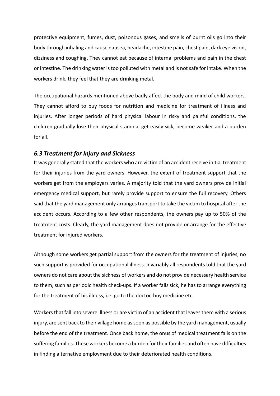protective equipment, fumes, dust, poisonous gases, and smells of burnt oils go into their body through inhaling and cause nausea, headache, intestine pain, chest pain, dark eye vision, dizziness and coughing. They cannot eat because of internal problems and pain in the chest or intestine. The drinking water is too polluted with metal and is not safe for intake. When the workers drink, they feel that they are drinking metal.

The occupational hazards mentioned above badly affect the body and mind of child workers. They cannot afford to buy foods for nutrition and medicine for treatment of illness and injuries. After longer periods of hard physical labour in risky and painful conditions, the children gradually lose their physical stamina, get easily sick, become weaker and a burden for all.

#### <span id="page-18-0"></span>*6.3 Treatment for Injury and Sickness*

It was generally stated that the workers who are victim of an accident receive initial treatment for their injuries from the yard owners. However, the extent of treatment support that the workers get from the employers varies. A majority told that the yard owners provide initial emergency medical support, but rarely provide support to ensure the full recovery. Others said that the yard management only arranges transport to take the victim to hospital after the accident occurs. According to a few other respondents, the owners pay up to 50% of the treatment costs. Clearly, the yard management does not provide or arrange for the effective treatment for injured workers.

Although some workers get partial support from the owners for the treatment of injuries, no such support is provided for occupational illness. Invariably all respondents told that the yard owners do not care about the sickness of workers and do not provide necessary health service to them, such as periodic health check-ups. If a worker falls sick, he has to arrange everything for the treatment of his illness, i.e. go to the doctor, buy medicine etc.

Workers that fall into severe illness or are victim of an accident that leavesthem with a serious injury, are sent back to their village home as soon as possible by the yard management, usually before the end of the treatment. Once back home, the onus of medical treatment falls on the suffering families. These workers become a burden for their families and often have difficulties in finding alternative employment due to their deteriorated health conditions.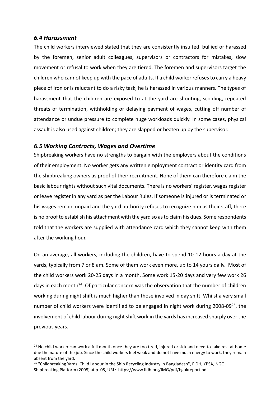#### <span id="page-19-0"></span>*6.4 Harassment*

 $\overline{a}$ 

The child workers interviewed stated that they are consistently insulted, bullied or harassed by the foremen, senior adult colleagues, supervisors or contractors for mistakes, slow movement or refusal to work when they are tiered. The foremen and supervisors target the children who cannot keep up with the pace of adults. If a child worker refuses to carry a heavy piece of iron or is reluctant to do a risky task, he is harassed in various manners. The types of harassment that the children are exposed to at the yard are shouting, scolding, repeated threats of termination, withholding or delaying payment of wages, cutting off number of attendance or undue pressure to complete huge workloads quickly. In some cases, physical assault is also used against children; they are slapped or beaten up by the supervisor.

#### <span id="page-19-1"></span>*6.5 Working Contracts, Wages and Overtime*

Shipbreaking workers have no strengths to bargain with the employers about the conditions of their employment. No worker gets any written employment contract or identity card from the shipbreaking owners as proof of their recruitment. None of them can therefore claim the basic labour rights without such vital documents. There is no workers' register, wages register or leave register in any yard as per the Labour Rules. If someone is injured or is terminated or his wages remain unpaid and the yard authority refuses to recognize him as their staff, there is no proof to establish his attachment with the yard so as to claim his dues. Some respondents told that the workers are supplied with attendance card which they cannot keep with them after the working hour.

On an average, all workers, including the children, have to spend 10-12 hours a day at the yards, typically from 7 or 8 am. Some of them work even more, up to 14 yours daily. Most of the child workers work 20-25 days in a month. Some work 15-20 days and very few work 26 days in each month<sup>24</sup>. Of particular concern was the observation that the number of children working during night shift is much higher than those involved in day shift. Whilst a very small number of child workers were identified to be engaged in night work during 2008-09<sup>25</sup>, the involvement of child labour during night shift work in the yards has increased sharply over the previous years.

<sup>&</sup>lt;sup>24</sup> No child worker can work a full month once they are too tired, injured or sick and need to take rest at home due the nature of the job. Since the child workers feel weak and do not have much energy to work, they remain absent from the yard.

<sup>&</sup>lt;sup>25</sup> "Childbreaking Yards: Child Labour in the Ship Recycling Industry in Bangladesh", FIDH, YPSA, NGO Shipbreaking Platform (2008) at p. 05, URL: <https://www.fidh.org/IMG/pdf/bgukreport.pdf>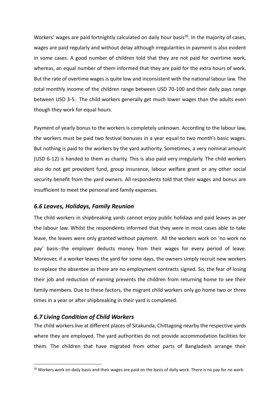Workers' wages are paid fortnightly calculated on daily hour basis<sup>26</sup>. In the majority of cases, wages are paid regularly and without delay although irregularities in payment is also evident in some cases. A good number of children told that they are not paid for overtime work, whereas, an equal number of them informed that they are paid for the extra hours of work. But the rate of overtime wages is quite low and inconsistent with the national labour law. The total monthly income of the children range between USD 70-100 and their daily pays range between USD 3-5. The child workers generally get much lower wages than the adults even though they work for equal hours.

Payment of yearly bonus to the workers is completely unknown. According to the labour law, the workers must be paid two festival bonuses in a year equal to two month's basic wages. But nothing is paid to the workers by the yard authority. Sometimes, a very nominal amount (USD 6-12) is handed to them as charity. This is also paid very irregularly. The child workers also do not get provident fund, group insurance, labour welfare grant or any other social security benefit from the yard owners. All respondents told that their wages and bonus are insufficient to meet the personal and family expenses.

#### <span id="page-20-0"></span>*6.6 Leaves, Holidays, Family Reunion*

The child workers in shipbreaking yards cannot enjoy public holidays and paid leaves as per the labour law. Whilst the respondents informed that they were in most cases able to take leave, the leaves were only granted without payment. All the workers work on 'no work no pay' basis--the employer deducts money from their wages for every period of leave. Moreover, if a worker leaves the yard for some days, the owners simply recruit new workers to replace the absentee as there are no employment contracts signed. So, the fear of losing their job and reduction of earning prevents the children from returning home to see their family members. Due to these factors, the migrant child workers only go home two or three times in a year or after shipbreaking in their yard is completed.

#### <span id="page-20-1"></span>*6.7 Living Condition of Child Workers*

 $\overline{a}$ 

The child workers live at different places of Sitakunda, Chittagong nearby the respective yards where they are employed. The yard authorities do not provide accommodation facilities for them. The children that have migrated from other parts of Bangladesh arrange their

<sup>&</sup>lt;sup>26</sup> Workers work on daily basis and their wages are paid on the basis of daily work. There is no pay for no work.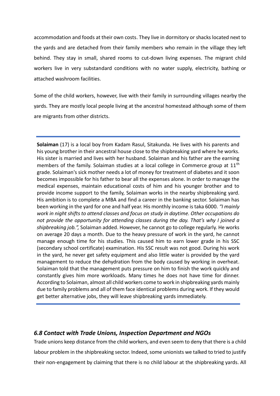accommodation and foods at their own costs. They live in dormitory or shacks located next to the yards and are detached from their family members who remain in the village they left behind. They stay in small, shared rooms to cut-down living expenses. The migrant child workers live in very substandard conditions with no water supply, electricity, bathing or attached washroom facilities.

Some of the child workers, however, live with their family in surrounding villages nearby the yards. They are mostly local people living at the ancestral homestead although some of them are migrants from other districts.

**Solaiman** (17) is a local boy from Kadam Rasul, Sitakunda. He lives with his parents and his young brother in their ancestral house close to the shipbreaking yard where he works. His sister is married and lives with her husband. Solaiman and his father are the earning members of the family. Solaiman studies at a local college in Commerce group at 11<sup>th</sup> grade. Solaiman's sick mother needs a lot of money for treatment of diabetes and it soon becomes impossible for his father to bear all the expenses alone. In order to manage the medical expenses, maintain educational costs of him and his younger brother and to provide income support to the family, Solaiman works in the nearby shipbreaking yard. His ambition is to complete a MBA and find a career in the banking sector. Solaiman has been working in the yard for one and half year. His monthly income is taka 6000. *"I mainly work in night shifts to attend classes and focus on study in daytime. Other occupations do not provide the opportunity for attending classes during the day. That's why I joined a shipbreaking job.",* Solaiman added. However, he cannot go to college regularly. He works on average 20 days a month. Due to the heavy pressure of work in the yard, he cannot manage enough time for his studies. This caused him to earn lower grade in his SSC (secondary school certificate) examination. His SSC result was not good. During his work in the yard, he never get safety equipment and also little water is provided by the yard management to reduce the dehydration from the body caused by working in overheat. Solaiman told that the management puts pressure on him to finish the work quickly and constantly gives him more workloads. Many times he does not have time for dinner. According to Solaiman, almost all child workers come to work in shipbreaking yards mainly due to family problems and all of them face identical problems during work. If they would get better alternative jobs, they will leave shipbreaking yards immediately.

#### <span id="page-21-0"></span>*6.8 Contact with Trade Unions, Inspection Department and NGOs*

Trade unions keep distance from the child workers, and even seem to deny that there is a child labour problem in the shipbreaking sector. Indeed, some unionists we talked to tried to justify their non-engagement by claiming that there is no child labour at the shipbreaking yards. All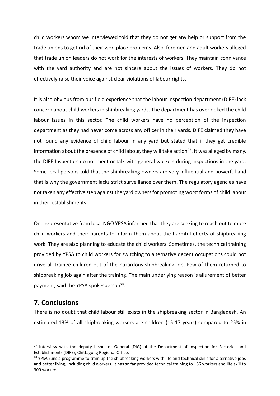child workers whom we interviewed told that they do not get any help or support from the trade unions to get rid of their workplace problems. Also, foremen and adult workers alleged that trade union leaders do not work for the interests of workers. They maintain connivance with the yard authority and are not sincere about the issues of workers. They do not effectively raise their voice against clear violations of labour rights.

It is also obvious from our field experience that the labour inspection department (DIFE) lack concern about child workers in shipbreaking yards. The department has overlooked the child labour issues in this sector. The child workers have no perception of the inspection department as they had never come across any officer in their yards. DIFE claimed they have not found any evidence of child labour in any yard but stated that if they get credible information about the presence of child labour, they will take action<sup>27</sup>. It was alleged by many, the DIFE Inspectors do not meet or talk with general workers during inspections in the yard. Some local persons told that the shipbreaking owners are very influential and powerful and that is why the government lacks strict surveillance over them. The regulatory agencies have not taken any effective step against the yard owners for promoting worst forms of child labour in their establishments.

One representative from local NGO YPSA informed that they are seeking to reach out to more child workers and their parents to inform them about the harmful effects of shipbreaking work. They are also planning to educate the child workers. Sometimes, the technical training provided by YPSA to child workers for switching to alternative decent occupations could not drive all trainee children out of the hazardous shipbreaking job. Few of them returned to shipbreaking job again after the training. The main underlying reason is allurement of better payment, said the YPSA spokesperson<sup>28</sup>.

#### <span id="page-22-0"></span>**7. Conclusions**

 $\overline{a}$ 

There is no doubt that child labour still exists in the shipbreaking sector in Bangladesh. An estimated 13% of all shipbreaking workers are children (15-17 years) compared to 25% in

<sup>&</sup>lt;sup>27</sup> Interview with the deputy Inspector General (DIG) of the Department of Inspection for Factories and Establishments (DIFE), Chittagong Regional Office.

<sup>&</sup>lt;sup>28</sup> YPSA runs a programme to train up the shipbreaking workers with life and technical skills for alternative jobs and better living, including child workers. It has so far provided technical training to 186 workers and life skill to 300 workers.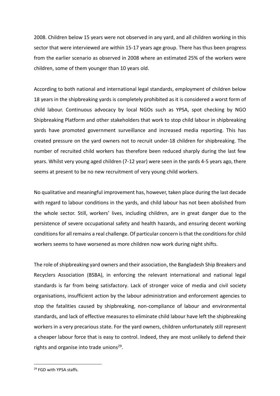2008. Children below 15 years were not observed in any yard, and all children working in this sector that were interviewed are within 15-17 years age group. There has thus been progress from the earlier scenario as observed in 2008 where an estimated 25% of the workers were children, some of them younger than 10 years old.

According to both national and international legal standards, employment of children below 18 years in the shipbreaking yards is completely prohibited as it is considered a worst form of child labour. Continuous advocacy by local NGOs such as YPSA, spot checking by NGO Shipbreaking Platform and other stakeholders that work to stop child labour in shipbreaking yards have promoted government surveillance and increased media reporting. This has created pressure on the yard owners not to recruit under-18 children for shipbreaking. The number of recruited child workers has therefore been reduced sharply during the last few years. Whilst very young aged children (7-12 year) were seen in the yards 4-5 years ago, there seems at present to be no new recruitment of very young child workers.

No qualitative and meaningful improvement has, however, taken place during the last decade with regard to labour conditions in the yards, and child labour has not been abolished from the whole sector. Still, workers' lives, including children, are in great danger due to the persistence of severe occupational safety and health hazards, and ensuring decent working conditions for all remains a real challenge. Of particular concern is that the conditions for child workers seems to have worsened as more children now work during night shifts.

The role of shipbreaking yard owners and their association, the Bangladesh Ship Breakers and Recyclers Association (BSBA), in enforcing the relevant international and national legal standards is far from being satisfactory. Lack of stronger voice of media and civil society organisations, insufficient action by the labour administration and enforcement agencies to stop the fatalities caused by shipbreaking, non-compliance of labour and environmental standards, and lack of effective measures to eliminate child labour have left the shipbreaking workers in a very precarious state. For the yard owners, children unfortunately still represent a cheaper labour force that is easy to control. Indeed, they are most unlikely to defend their rights and organise into trade unions<sup>29</sup>.

 $\overline{a}$ 

<sup>&</sup>lt;sup>29</sup> FGD with YPSA staffs.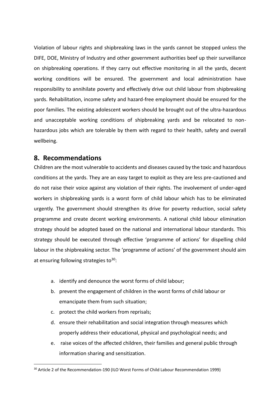Violation of labour rights and shipbreaking laws in the yards cannot be stopped unless the DIFE, DOE, Ministry of Industry and other government authorities beef up their surveillance on shipbreaking operations. If they carry out effective monitoring in all the yards, decent working conditions will be ensured. The government and local administration have responsibility to annihilate poverty and effectively drive out child labour from shipbreaking yards. Rehabilitation, income safety and hazard-free employment should be ensured for the poor families. The existing adolescent workers should be brought out of the ultra-hazardous and unacceptable working conditions of shipbreaking yards and be relocated to nonhazardous jobs which are tolerable by them with regard to their health, safety and overall wellbeing.

#### <span id="page-24-0"></span>**8. Recommendations**

 $\overline{a}$ 

Children are the most vulnerable to accidents and diseases caused by the toxic and hazardous conditions at the yards. They are an easy target to exploit as they are less pre-cautioned and do not raise their voice against any violation of their rights. The involvement of under-aged workers in shipbreaking yards is a worst form of child labour which has to be eliminated urgently. The government should strengthen its drive for poverty reduction, social safety programme and create decent working environments. A national child labour elimination strategy should be adopted based on the national and international labour standards. This strategy should be executed through effective 'programme of actions' for dispelling child labour in the shipbreaking sector. The 'programme of actions' of the government should aim at ensuring following strategies to  $30$ :

- a. identify and denounce the worst forms of child labour;
- b. prevent the engagement of children in the worst forms of child labour or emancipate them from such situation;
- c. protect the child workers from reprisals;
- d. ensure their rehabilitation and social integration through measures which properly address their educational, physical and psychological needs; and
- e. raise voices of the affected children, their families and general public through information sharing and sensitization.

<sup>&</sup>lt;sup>30</sup> Article 2 of the Recommendation-190 (ILO Worst Forms of Child Labour Recommendation 1999)